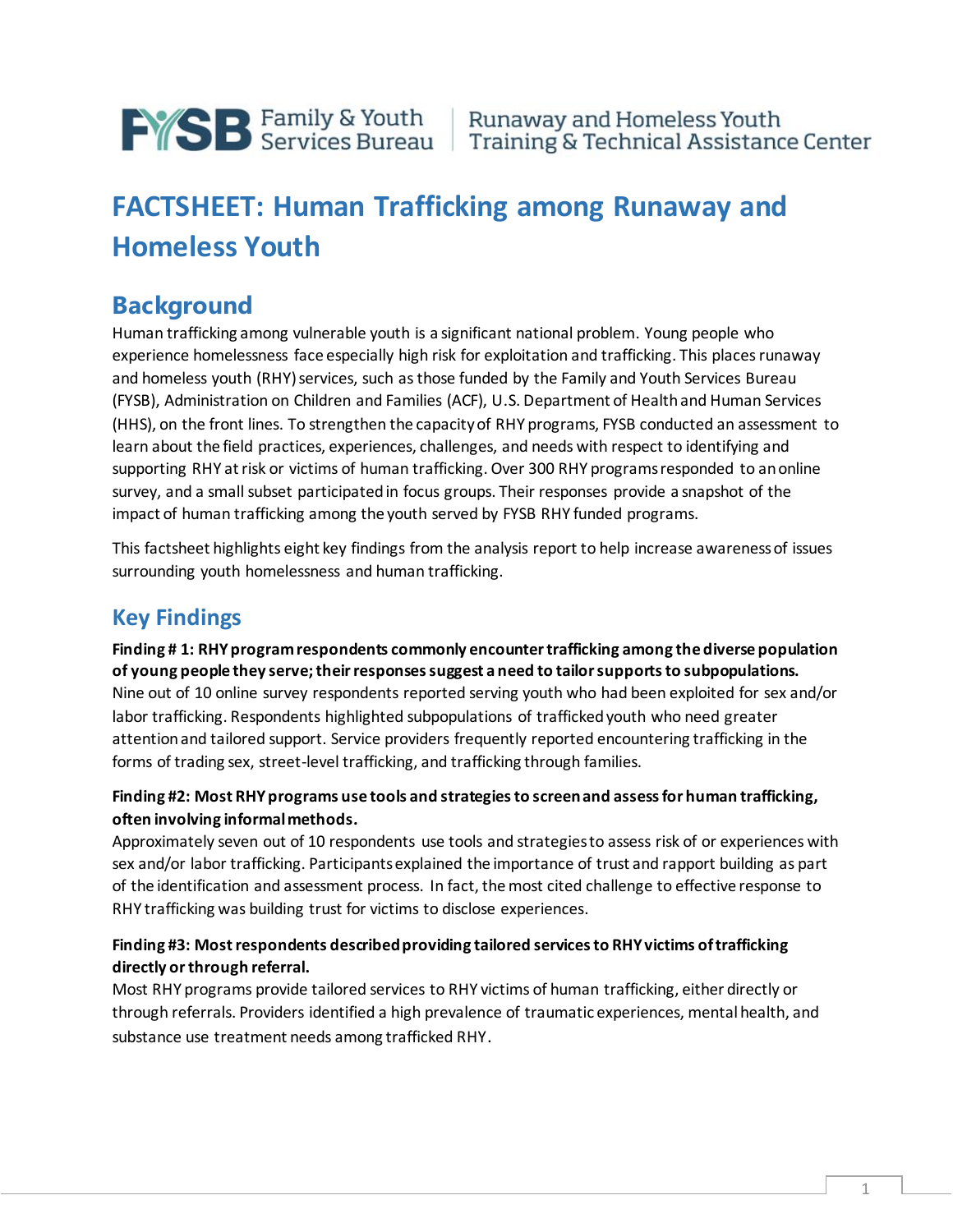

# **FACTSHEET: Human Trafficking among Runaway and Homeless Youth**

# **Background**

Human trafficking among vulnerable youth is a significant national problem. Young people who experience homelessness face especially high risk for exploitation and trafficking. This places runaway and homeless youth (RHY) services, such as those funded by the Family and Youth Services Bureau (FYSB), Administration on Children and Families (ACF), U.S. Department of Health and Human Services (HHS), on the front lines. To strengthen the capacity of RHY programs, FYSB conducted an assessment to learn about the field practices, experiences, challenges, and needs with respect to identifying and supporting RHY at risk or victims of human trafficking. Over 300 RHY programs responded to an online survey, and a small subset participated in focus groups. Their responses provide a snapshot of the impact of human trafficking among the youth served by FYSB RHY funded programs.

This factsheet highlights eight key findings from the analysis report to help increase awareness of issues surrounding youth homelessness and human trafficking.

# **Key Findings**

**Finding # 1: RHY program respondents commonly encounter trafficking among the diverse population of young people they serve; their responses suggest a need to tailor supports to subpopulations.**  Nine out of 10 online survey respondents reported serving youth who had been exploited for sex and/or labor trafficking. Respondents highlighted subpopulations of trafficked youth who need greater attention and tailored support. Service providers frequently reported encountering trafficking in the forms of trading sex, street-level trafficking, and trafficking through families.

### **Finding #2: Most RHY programs use tools and strategies to screen and assess for human trafficking, often involving informal methods.**

Approximately seven out of 10 respondents use tools and strategies to assess risk of or experiences with sex and/or labor trafficking. Participants explained the importance of trust and rapport building as part of the identification and assessment process. In fact, the most cited challenge to effective response to RHY trafficking was building trust for victims to disclose experiences.

### **Finding #3: Most respondents described providing tailored services to RHY victims of trafficking directly or through referral.**

Most RHY programs provide tailored services to RHY victims of human trafficking, either directly or through referrals. Providers identified a high prevalence of traumatic experiences, mental health, and substance use treatment needs among trafficked RHY.